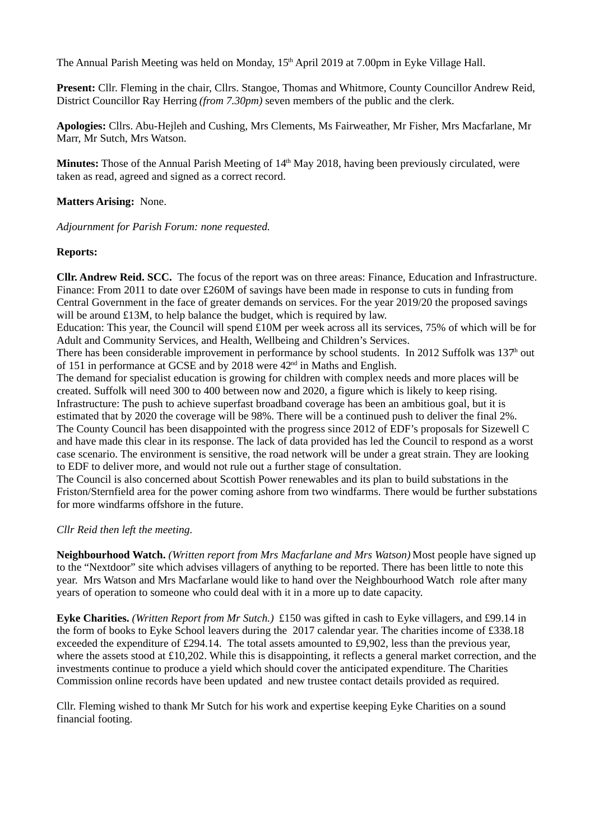The Annual Parish Meeting was held on Monday, 15<sup>th</sup> April 2019 at 7.00pm in Eyke Village Hall.

**Present:** Cllr. Fleming in the chair, Cllrs. Stangoe, Thomas and Whitmore, County Councillor Andrew Reid, District Councillor Ray Herring *(from 7.30pm)* seven members of the public and the clerk.

**Apologies:** Cllrs. Abu-Hejleh and Cushing, Mrs Clements, Ms Fairweather, Mr Fisher, Mrs Macfarlane, Mr Marr, Mr Sutch, Mrs Watson.

**Minutes:** Those of the Annual Parish Meeting of 14<sup>th</sup> May 2018, having been previously circulated, were taken as read, agreed and signed as a correct record.

**Matters Arising:** None.

*Adjournment for Parish Forum: none requested.*

## **Reports:**

**Cllr. Andrew Reid. SCC.** The focus of the report was on three areas: Finance, Education and Infrastructure. Finance: From 2011 to date over £260M of savings have been made in response to cuts in funding from Central Government in the face of greater demands on services. For the year 2019/20 the proposed savings will be around £13M, to help balance the budget, which is required by law.

Education: This year, the Council will spend £10M per week across all its services, 75% of which will be for Adult and Community Services, and Health, Wellbeing and Children's Services.

There has been considerable improvement in performance by school students. In 2012 Suffolk was  $137<sup>h</sup>$  out of 151 in performance at GCSE and by 2018 were  $42<sup>nd</sup>$  in Maths and English.

The demand for specialist education is growing for children with complex needs and more places will be created. Suffolk will need 300 to 400 between now and 2020, a figure which is likely to keep rising. Infrastructure: The push to achieve superfast broadband coverage has been an ambitious goal, but it is estimated that by 2020 the coverage will be 98%. There will be a continued push to deliver the final 2%. The County Council has been disappointed with the progress since 2012 of EDF's proposals for Sizewell C and have made this clear in its response. The lack of data provided has led the Council to respond as a worst case scenario. The environment is sensitive, the road network will be under a great strain. They are looking to EDF to deliver more, and would not rule out a further stage of consultation.

The Council is also concerned about Scottish Power renewables and its plan to build substations in the Friston/Sternfield area for the power coming ashore from two windfarms. There would be further substations for more windfarms offshore in the future.

*Cllr Reid then left the meeting.*

**Neighbourhood Watch.** *(Written report from Mrs Macfarlane and Mrs Watson)* Most people have signed up to the "Nextdoor" site which advises villagers of anything to be reported. There has been little to note this year. Mrs Watson and Mrs Macfarlane would like to hand over the Neighbourhood Watch role after many years of operation to someone who could deal with it in a more up to date capacity.

**Eyke Charities.** *(Written Report from Mr Sutch.)* £150 was gifted in cash to Eyke villagers, and £99.14 in the form of books to Eyke School leavers during the 2017 calendar year. The charities income of £338.18 exceeded the expenditure of £294.14. The total assets amounted to £9,902, less than the previous year, where the assets stood at £10,202. While this is disappointing, it reflects a general market correction, and the investments continue to produce a yield which should cover the anticipated expenditure. The Charities Commission online records have been updated and new trustee contact details provided as required.

Cllr. Fleming wished to thank Mr Sutch for his work and expertise keeping Eyke Charities on a sound financial footing.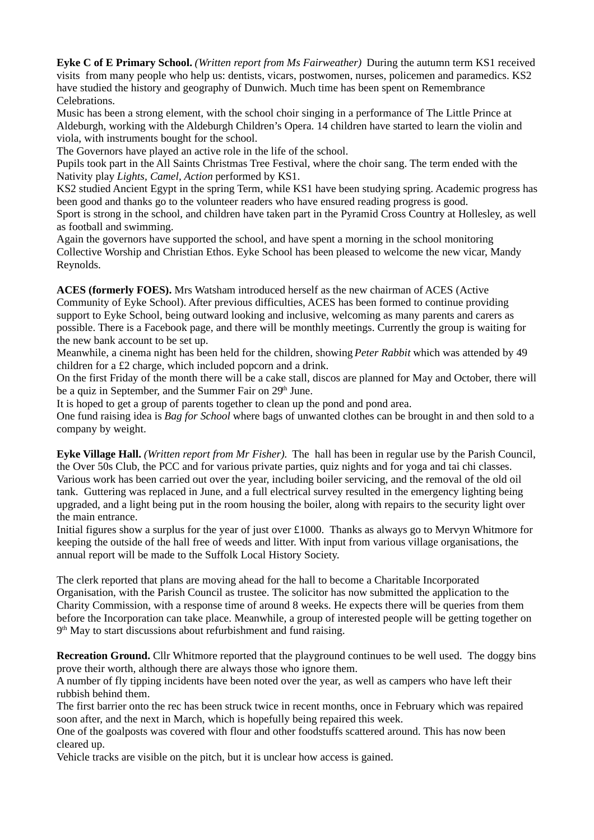**Eyke C of E Primary School.** *(Written report from Ms Fairweather)* During the autumn term KS1 received visits from many people who help us: dentists, vicars, postwomen, nurses, policemen and paramedics. KS2 have studied the history and geography of Dunwich. Much time has been spent on Remembrance Celebrations.

Music has been a strong element, with the school choir singing in a performance of The Little Prince at Aldeburgh, working with the Aldeburgh Children's Opera. 14 children have started to learn the violin and viola, with instruments bought for the school.

The Governors have played an active role in the life of the school.

Pupils took part in the All Saints Christmas Tree Festival, where the choir sang. The term ended with the Nativity play *Lights, Camel, Action* performed by KS1.

KS2 studied Ancient Egypt in the spring Term, while KS1 have been studying spring. Academic progress has been good and thanks go to the volunteer readers who have ensured reading progress is good.

Sport is strong in the school, and children have taken part in the Pyramid Cross Country at Hollesley, as well as football and swimming.

Again the governors have supported the school, and have spent a morning in the school monitoring Collective Worship and Christian Ethos. Eyke School has been pleased to welcome the new vicar, Mandy Reynolds.

**ACES (formerly FOES).** Mrs Watsham introduced herself as the new chairman of ACES (Active Community of Eyke School). After previous difficulties, ACES has been formed to continue providing support to Eyke School, being outward looking and inclusive, welcoming as many parents and carers as possible. There is a Facebook page, and there will be monthly meetings. Currently the group is waiting for the new bank account to be set up.

Meanwhile, a cinema night has been held for the children, showing *Peter Rabbit* which was attended by 49 children for a £2 charge, which included popcorn and a drink.

On the first Friday of the month there will be a cake stall, discos are planned for May and October, there will be a quiz in September, and the Summer Fair on 29<sup>th</sup> June.

It is hoped to get a group of parents together to clean up the pond and pond area.

One fund raising idea is *Bag for School* where bags of unwanted clothes can be brought in and then sold to a company by weight.

**Eyke Village Hall.** *(Written report from Mr Fisher).* The hall has been in regular use by the Parish Council, the Over 50s Club, the PCC and for various private parties, quiz nights and for yoga and tai chi classes. Various work has been carried out over the year, including boiler servicing, and the removal of the old oil tank. Guttering was replaced in June, and a full electrical survey resulted in the emergency lighting being upgraded, and a light being put in the room housing the boiler, along with repairs to the security light over the main entrance.

Initial figures show a surplus for the year of just over £1000. Thanks as always go to Mervyn Whitmore for keeping the outside of the hall free of weeds and litter. With input from various village organisations, the annual report will be made to the Suffolk Local History Society.

The clerk reported that plans are moving ahead for the hall to become a Charitable Incorporated Organisation, with the Parish Council as trustee. The solicitor has now submitted the application to the Charity Commission, with a response time of around 8 weeks. He expects there will be queries from them before the Incorporation can take place. Meanwhile, a group of interested people will be getting together on 9<sup>th</sup> May to start discussions about refurbishment and fund raising.

**Recreation Ground.** Cllr Whitmore reported that the playground continues to be well used. The doggy bins prove their worth, although there are always those who ignore them.

A number of fly tipping incidents have been noted over the year, as well as campers who have left their rubbish behind them.

The first barrier onto the rec has been struck twice in recent months, once in February which was repaired soon after, and the next in March, which is hopefully being repaired this week.

One of the goalposts was covered with flour and other foodstuffs scattered around. This has now been cleared up.

Vehicle tracks are visible on the pitch, but it is unclear how access is gained.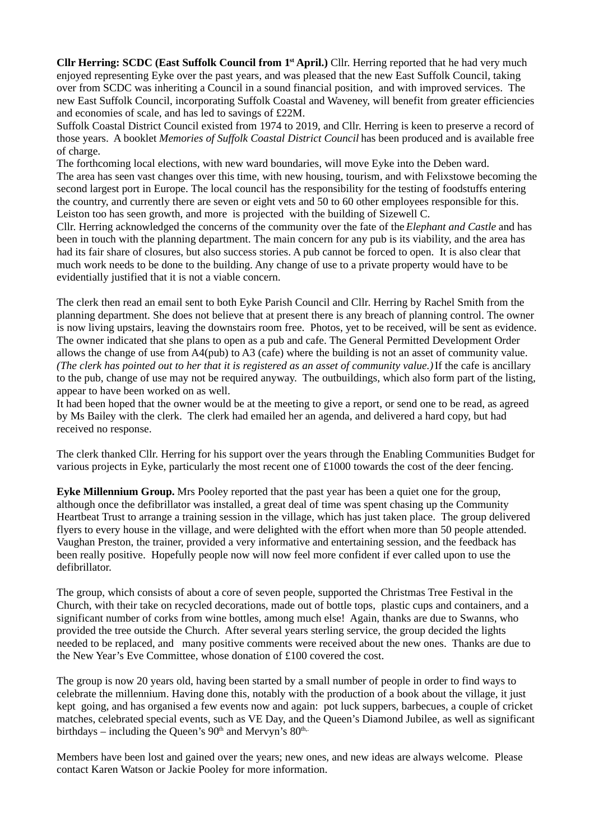**Cllr Herring: SCDC (East Suffolk Council from 1st April.)** Cllr. Herring reported that he had very much enjoyed representing Eyke over the past years, and was pleased that the new East Suffolk Council, taking over from SCDC was inheriting a Council in a sound financial position, and with improved services. The new East Suffolk Council, incorporating Suffolk Coastal and Waveney, will benefit from greater efficiencies and economies of scale, and has led to savings of £22M.

Suffolk Coastal District Council existed from 1974 to 2019, and Cllr. Herring is keen to preserve a record of those years. A booklet *Memories of Suffolk Coastal District Council* has been produced and is available free of charge.

The forthcoming local elections, with new ward boundaries, will move Eyke into the Deben ward. The area has seen vast changes over this time, with new housing, tourism, and with Felixstowe becoming the second largest port in Europe. The local council has the responsibility for the testing of foodstuffs entering the country, and currently there are seven or eight vets and 50 to 60 other employees responsible for this. Leiston too has seen growth, and more is projected with the building of Sizewell C.

Cllr. Herring acknowledged the concerns of the community over the fate of the *Elephant and Castle* and has been in touch with the planning department. The main concern for any pub is its viability, and the area has had its fair share of closures, but also success stories. A pub cannot be forced to open. It is also clear that much work needs to be done to the building. Any change of use to a private property would have to be evidentially justified that it is not a viable concern.

The clerk then read an email sent to both Eyke Parish Council and Cllr. Herring by Rachel Smith from the planning department. She does not believe that at present there is any breach of planning control. The owner is now living upstairs, leaving the downstairs room free. Photos, yet to be received, will be sent as evidence. The owner indicated that she plans to open as a pub and cafe. The General Permitted Development Order allows the change of use from A4(pub) to A3 (cafe) where the building is not an asset of community value. *(The clerk has pointed out to her that it is registered as an asset of community value.)* If the cafe is ancillary to the pub, change of use may not be required anyway. The outbuildings, which also form part of the listing, appear to have been worked on as well.

It had been hoped that the owner would be at the meeting to give a report, or send one to be read, as agreed by Ms Bailey with the clerk. The clerk had emailed her an agenda, and delivered a hard copy, but had received no response.

The clerk thanked Cllr. Herring for his support over the years through the Enabling Communities Budget for various projects in Eyke, particularly the most recent one of £1000 towards the cost of the deer fencing.

**Eyke Millennium Group.** Mrs Pooley reported that the past year has been a quiet one for the group, although once the defibrillator was installed, a great deal of time was spent chasing up the Community Heartbeat Trust to arrange a training session in the village, which has just taken place. The group delivered flyers to every house in the village, and were delighted with the effort when more than 50 people attended. Vaughan Preston, the trainer, provided a very informative and entertaining session, and the feedback has been really positive. Hopefully people now will now feel more confident if ever called upon to use the defibrillator.

The group, which consists of about a core of seven people, supported the Christmas Tree Festival in the Church, with their take on recycled decorations, made out of bottle tops, plastic cups and containers, and a significant number of corks from wine bottles, among much else! Again, thanks are due to Swanns, who provided the tree outside the Church. After several years sterling service, the group decided the lights needed to be replaced, and many positive comments were received about the new ones. Thanks are due to the New Year's Eve Committee, whose donation of £100 covered the cost.

The group is now 20 years old, having been started by a small number of people in order to find ways to celebrate the millennium. Having done this, notably with the production of a book about the village, it just kept going, and has organised a few events now and again: pot luck suppers, barbecues, a couple of cricket matches, celebrated special events, such as VE Day, and the Queen's Diamond Jubilee, as well as significant birthdays – including the Queen's  $90<sup>th</sup>$  and Mervyn's  $80<sup>th</sup>$ .

Members have been lost and gained over the years; new ones, and new ideas are always welcome. Please contact Karen Watson or Jackie Pooley for more information.